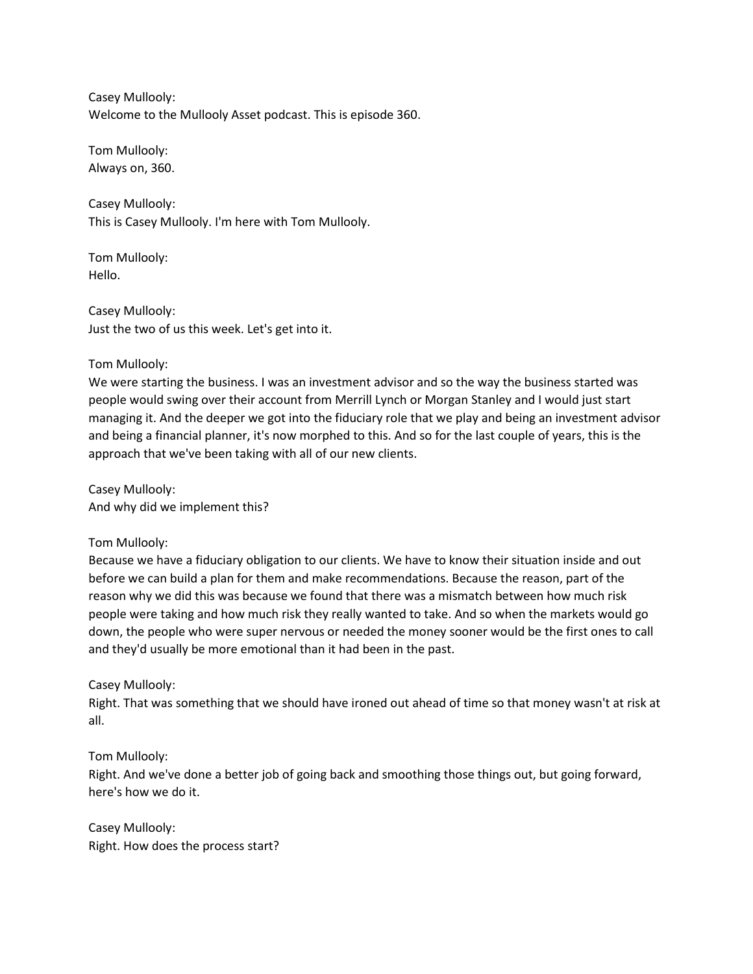Casey Mullooly: Welcome to the Mullooly Asset podcast. This is episode 360.

Tom Mullooly: Always on, 360.

Casey Mullooly: This is Casey Mullooly. I'm here with Tom Mullooly.

Tom Mullooly: Hello.

Casey Mullooly: Just the two of us this week. Let's get into it.

Tom Mullooly:

We were starting the business. I was an investment advisor and so the way the business started was people would swing over their account from Merrill Lynch or Morgan Stanley and I would just start managing it. And the deeper we got into the fiduciary role that we play and being an investment advisor and being a financial planner, it's now morphed to this. And so for the last couple of years, this is the approach that we've been taking with all of our new clients.

Casey Mullooly: And why did we implement this?

Tom Mullooly:

Because we have a fiduciary obligation to our clients. We have to know their situation inside and out before we can build a plan for them and make recommendations. Because the reason, part of the reason why we did this was because we found that there was a mismatch between how much risk people were taking and how much risk they really wanted to take. And so when the markets would go down, the people who were super nervous or needed the money sooner would be the first ones to call and they'd usually be more emotional than it had been in the past.

Casey Mullooly:

Right. That was something that we should have ironed out ahead of time so that money wasn't at risk at all.

Tom Mullooly:

Right. And we've done a better job of going back and smoothing those things out, but going forward, here's how we do it.

Casey Mullooly: Right. How does the process start?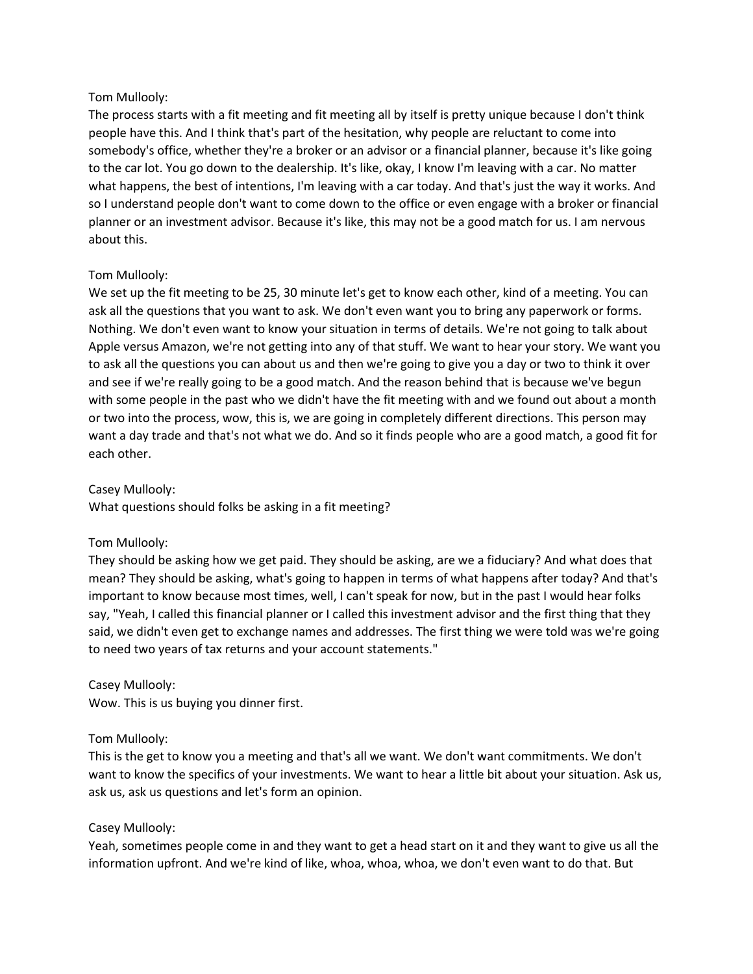## Tom Mullooly:

The process starts with a fit meeting and fit meeting all by itself is pretty unique because I don't think people have this. And I think that's part of the hesitation, why people are reluctant to come into somebody's office, whether they're a broker or an advisor or a financial planner, because it's like going to the car lot. You go down to the dealership. It's like, okay, I know I'm leaving with a car. No matter what happens, the best of intentions, I'm leaving with a car today. And that's just the way it works. And so I understand people don't want to come down to the office or even engage with a broker or financial planner or an investment advisor. Because it's like, this may not be a good match for us. I am nervous about this.

## Tom Mullooly:

We set up the fit meeting to be 25, 30 minute let's get to know each other, kind of a meeting. You can ask all the questions that you want to ask. We don't even want you to bring any paperwork or forms. Nothing. We don't even want to know your situation in terms of details. We're not going to talk about Apple versus Amazon, we're not getting into any of that stuff. We want to hear your story. We want you to ask all the questions you can about us and then we're going to give you a day or two to think it over and see if we're really going to be a good match. And the reason behind that is because we've begun with some people in the past who we didn't have the fit meeting with and we found out about a month or two into the process, wow, this is, we are going in completely different directions. This person may want a day trade and that's not what we do. And so it finds people who are a good match, a good fit for each other.

Casey Mullooly:

What questions should folks be asking in a fit meeting?

# Tom Mullooly:

They should be asking how we get paid. They should be asking, are we a fiduciary? And what does that mean? They should be asking, what's going to happen in terms of what happens after today? And that's important to know because most times, well, I can't speak for now, but in the past I would hear folks say, "Yeah, I called this financial planner or I called this investment advisor and the first thing that they said, we didn't even get to exchange names and addresses. The first thing we were told was we're going to need two years of tax returns and your account statements."

# Casey Mullooly:

Wow. This is us buying you dinner first.

# Tom Mullooly:

This is the get to know you a meeting and that's all we want. We don't want commitments. We don't want to know the specifics of your investments. We want to hear a little bit about your situation. Ask us, ask us, ask us questions and let's form an opinion.

# Casey Mullooly:

Yeah, sometimes people come in and they want to get a head start on it and they want to give us all the information upfront. And we're kind of like, whoa, whoa, whoa, we don't even want to do that. But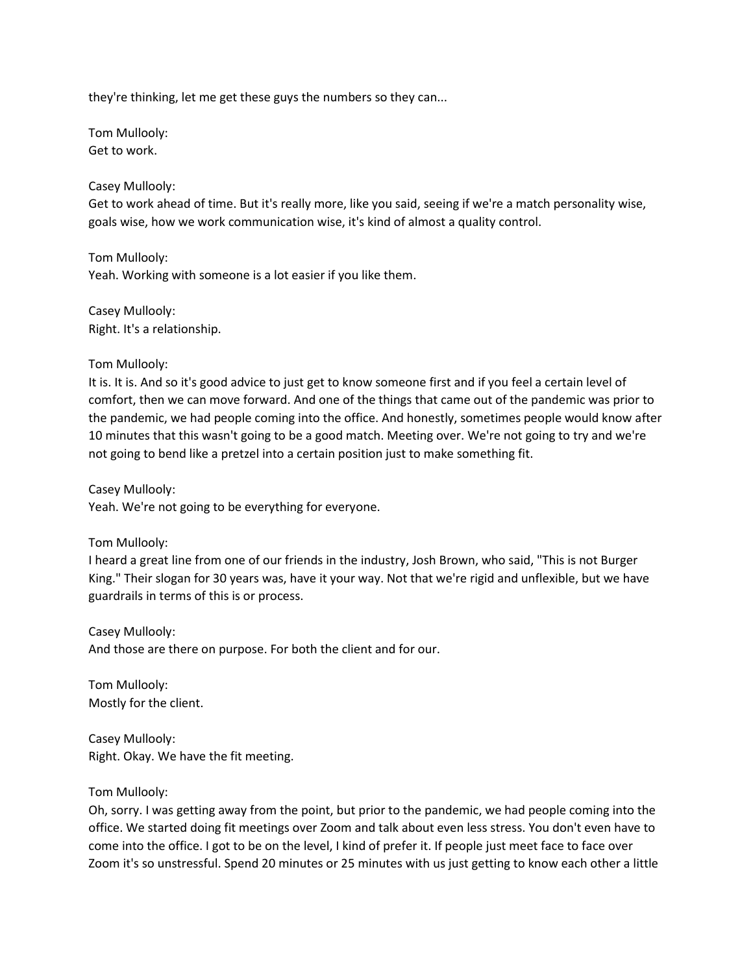they're thinking, let me get these guys the numbers so they can...

Tom Mullooly: Get to work.

### Casey Mullooly:

Get to work ahead of time. But it's really more, like you said, seeing if we're a match personality wise, goals wise, how we work communication wise, it's kind of almost a quality control.

Tom Mullooly: Yeah. Working with someone is a lot easier if you like them.

Casey Mullooly: Right. It's a relationship.

### Tom Mullooly:

It is. It is. And so it's good advice to just get to know someone first and if you feel a certain level of comfort, then we can move forward. And one of the things that came out of the pandemic was prior to the pandemic, we had people coming into the office. And honestly, sometimes people would know after 10 minutes that this wasn't going to be a good match. Meeting over. We're not going to try and we're not going to bend like a pretzel into a certain position just to make something fit.

Casey Mullooly:

Yeah. We're not going to be everything for everyone.

### Tom Mullooly:

I heard a great line from one of our friends in the industry, Josh Brown, who said, "This is not Burger King." Their slogan for 30 years was, have it your way. Not that we're rigid and unflexible, but we have guardrails in terms of this is or process.

Casey Mullooly: And those are there on purpose. For both the client and for our.

Tom Mullooly: Mostly for the client.

Casey Mullooly: Right. Okay. We have the fit meeting.

### Tom Mullooly:

Oh, sorry. I was getting away from the point, but prior to the pandemic, we had people coming into the office. We started doing fit meetings over Zoom and talk about even less stress. You don't even have to come into the office. I got to be on the level, I kind of prefer it. If people just meet face to face over Zoom it's so unstressful. Spend 20 minutes or 25 minutes with us just getting to know each other a little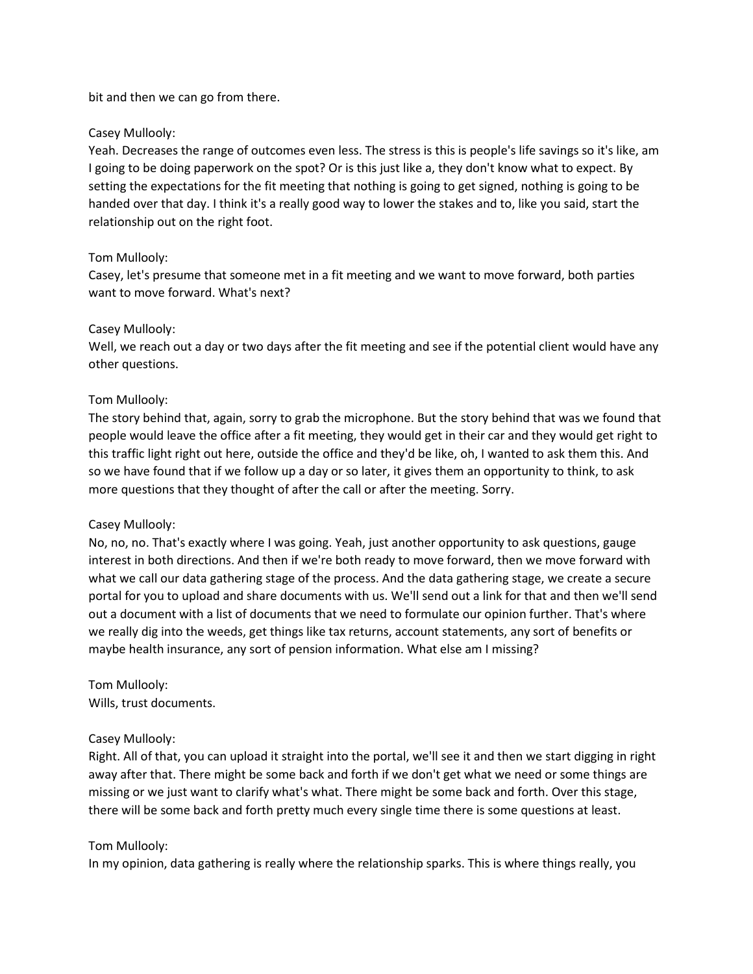bit and then we can go from there.

### Casey Mullooly:

Yeah. Decreases the range of outcomes even less. The stress is this is people's life savings so it's like, am I going to be doing paperwork on the spot? Or is this just like a, they don't know what to expect. By setting the expectations for the fit meeting that nothing is going to get signed, nothing is going to be handed over that day. I think it's a really good way to lower the stakes and to, like you said, start the relationship out on the right foot.

### Tom Mullooly:

Casey, let's presume that someone met in a fit meeting and we want to move forward, both parties want to move forward. What's next?

### Casey Mullooly:

Well, we reach out a day or two days after the fit meeting and see if the potential client would have any other questions.

### Tom Mullooly:

The story behind that, again, sorry to grab the microphone. But the story behind that was we found that people would leave the office after a fit meeting, they would get in their car and they would get right to this traffic light right out here, outside the office and they'd be like, oh, I wanted to ask them this. And so we have found that if we follow up a day or so later, it gives them an opportunity to think, to ask more questions that they thought of after the call or after the meeting. Sorry.

### Casey Mullooly:

No, no, no. That's exactly where I was going. Yeah, just another opportunity to ask questions, gauge interest in both directions. And then if we're both ready to move forward, then we move forward with what we call our data gathering stage of the process. And the data gathering stage, we create a secure portal for you to upload and share documents with us. We'll send out a link for that and then we'll send out a document with a list of documents that we need to formulate our opinion further. That's where we really dig into the weeds, get things like tax returns, account statements, any sort of benefits or maybe health insurance, any sort of pension information. What else am I missing?

Tom Mullooly: Wills, trust documents.

### Casey Mullooly:

Right. All of that, you can upload it straight into the portal, we'll see it and then we start digging in right away after that. There might be some back and forth if we don't get what we need or some things are missing or we just want to clarify what's what. There might be some back and forth. Over this stage, there will be some back and forth pretty much every single time there is some questions at least.

### Tom Mullooly:

In my opinion, data gathering is really where the relationship sparks. This is where things really, you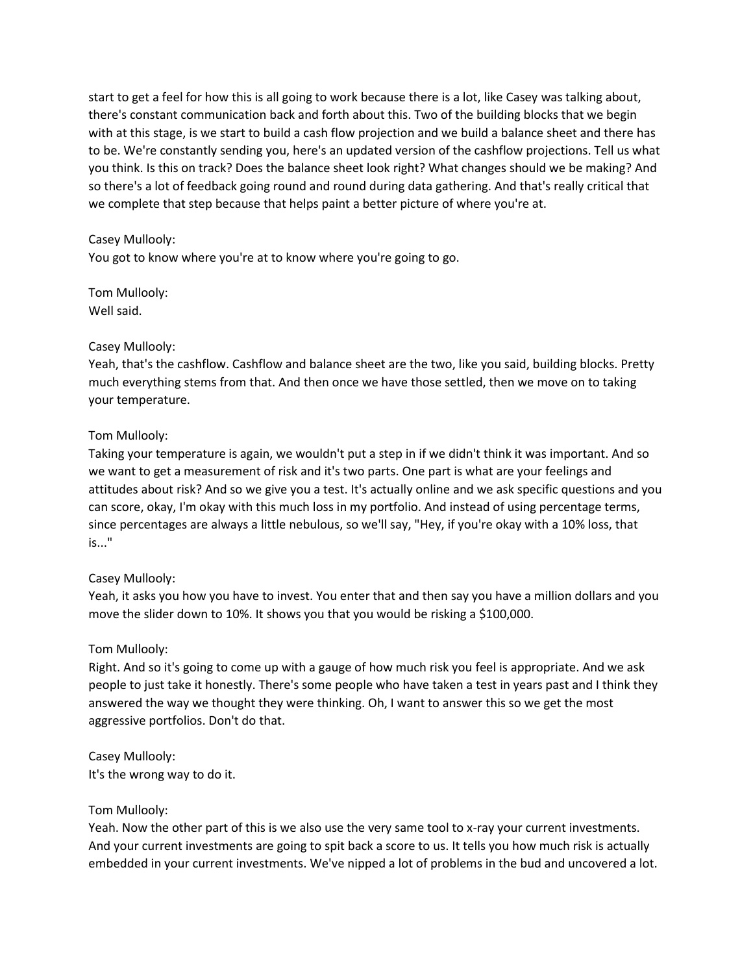start to get a feel for how this is all going to work because there is a lot, like Casey was talking about, there's constant communication back and forth about this. Two of the building blocks that we begin with at this stage, is we start to build a cash flow projection and we build a balance sheet and there has to be. We're constantly sending you, here's an updated version of the cashflow projections. Tell us what you think. Is this on track? Does the balance sheet look right? What changes should we be making? And so there's a lot of feedback going round and round during data gathering. And that's really critical that we complete that step because that helps paint a better picture of where you're at.

## Casey Mullooly:

You got to know where you're at to know where you're going to go.

Tom Mullooly: Well said.

### Casey Mullooly:

Yeah, that's the cashflow. Cashflow and balance sheet are the two, like you said, building blocks. Pretty much everything stems from that. And then once we have those settled, then we move on to taking your temperature.

## Tom Mullooly:

Taking your temperature is again, we wouldn't put a step in if we didn't think it was important. And so we want to get a measurement of risk and it's two parts. One part is what are your feelings and attitudes about risk? And so we give you a test. It's actually online and we ask specific questions and you can score, okay, I'm okay with this much loss in my portfolio. And instead of using percentage terms, since percentages are always a little nebulous, so we'll say, "Hey, if you're okay with a 10% loss, that is..."

### Casey Mullooly:

Yeah, it asks you how you have to invest. You enter that and then say you have a million dollars and you move the slider down to 10%. It shows you that you would be risking a \$100,000.

### Tom Mullooly:

Right. And so it's going to come up with a gauge of how much risk you feel is appropriate. And we ask people to just take it honestly. There's some people who have taken a test in years past and I think they answered the way we thought they were thinking. Oh, I want to answer this so we get the most aggressive portfolios. Don't do that.

Casey Mullooly: It's the wrong way to do it.

### Tom Mullooly:

Yeah. Now the other part of this is we also use the very same tool to x-ray your current investments. And your current investments are going to spit back a score to us. It tells you how much risk is actually embedded in your current investments. We've nipped a lot of problems in the bud and uncovered a lot.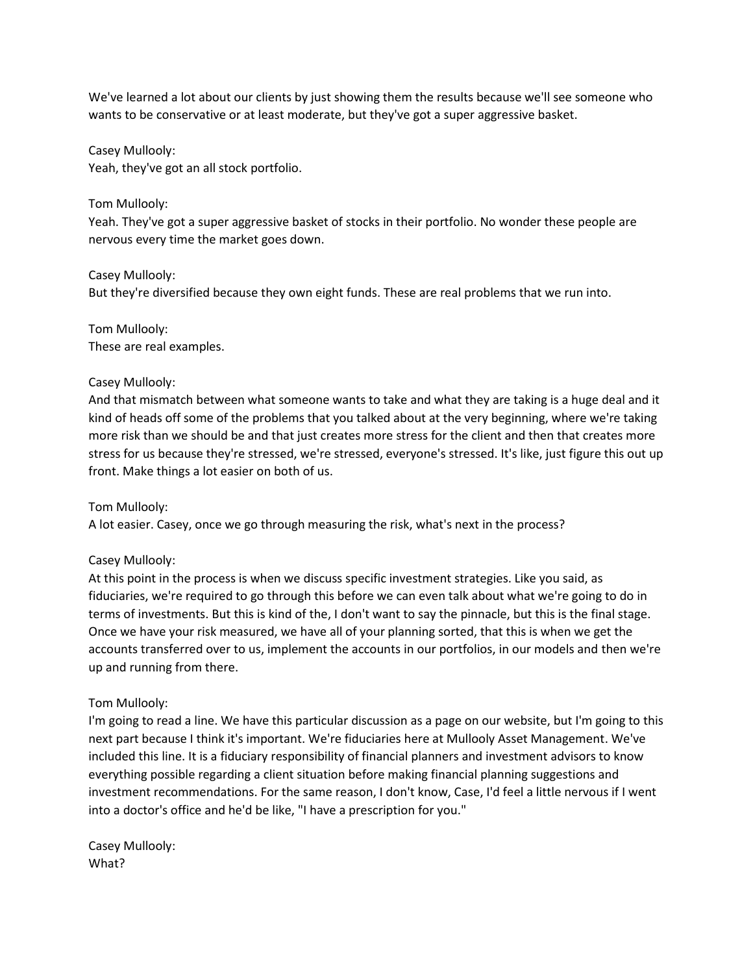We've learned a lot about our clients by just showing them the results because we'll see someone who wants to be conservative or at least moderate, but they've got a super aggressive basket.

Casey Mullooly:

Yeah, they've got an all stock portfolio.

## Tom Mullooly:

Yeah. They've got a super aggressive basket of stocks in their portfolio. No wonder these people are nervous every time the market goes down.

Casey Mullooly: But they're diversified because they own eight funds. These are real problems that we run into.

# Tom Mullooly:

These are real examples.

## Casey Mullooly:

And that mismatch between what someone wants to take and what they are taking is a huge deal and it kind of heads off some of the problems that you talked about at the very beginning, where we're taking more risk than we should be and that just creates more stress for the client and then that creates more stress for us because they're stressed, we're stressed, everyone's stressed. It's like, just figure this out up front. Make things a lot easier on both of us.

# Tom Mullooly:

A lot easier. Casey, once we go through measuring the risk, what's next in the process?

# Casey Mullooly:

At this point in the process is when we discuss specific investment strategies. Like you said, as fiduciaries, we're required to go through this before we can even talk about what we're going to do in terms of investments. But this is kind of the, I don't want to say the pinnacle, but this is the final stage. Once we have your risk measured, we have all of your planning sorted, that this is when we get the accounts transferred over to us, implement the accounts in our portfolios, in our models and then we're up and running from there.

### Tom Mullooly:

I'm going to read a line. We have this particular discussion as a page on our website, but I'm going to this next part because I think it's important. We're fiduciaries here at Mullooly Asset Management. We've included this line. It is a fiduciary responsibility of financial planners and investment advisors to know everything possible regarding a client situation before making financial planning suggestions and investment recommendations. For the same reason, I don't know, Case, I'd feel a little nervous if I went into a doctor's office and he'd be like, "I have a prescription for you."

Casey Mullooly: What?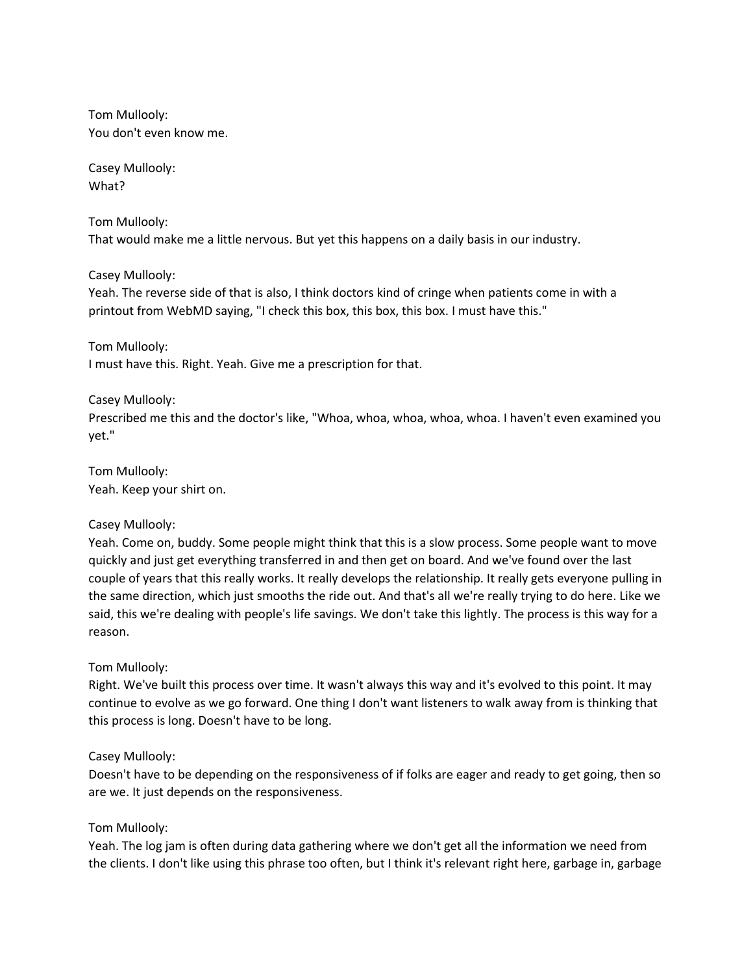Tom Mullooly: You don't even know me.

Casey Mullooly: What?

Tom Mullooly:

That would make me a little nervous. But yet this happens on a daily basis in our industry.

Casey Mullooly:

Yeah. The reverse side of that is also, I think doctors kind of cringe when patients come in with a printout from WebMD saying, "I check this box, this box, this box. I must have this."

Tom Mullooly: I must have this. Right. Yeah. Give me a prescription for that.

### Casey Mullooly:

Prescribed me this and the doctor's like, "Whoa, whoa, whoa, whoa, whoa. I haven't even examined you yet."

Tom Mullooly: Yeah. Keep your shirt on.

### Casey Mullooly:

Yeah. Come on, buddy. Some people might think that this is a slow process. Some people want to move quickly and just get everything transferred in and then get on board. And we've found over the last couple of years that this really works. It really develops the relationship. It really gets everyone pulling in the same direction, which just smooths the ride out. And that's all we're really trying to do here. Like we said, this we're dealing with people's life savings. We don't take this lightly. The process is this way for a reason.

# Tom Mullooly:

Right. We've built this process over time. It wasn't always this way and it's evolved to this point. It may continue to evolve as we go forward. One thing I don't want listeners to walk away from is thinking that this process is long. Doesn't have to be long.

### Casey Mullooly:

Doesn't have to be depending on the responsiveness of if folks are eager and ready to get going, then so are we. It just depends on the responsiveness.

# Tom Mullooly:

Yeah. The log jam is often during data gathering where we don't get all the information we need from the clients. I don't like using this phrase too often, but I think it's relevant right here, garbage in, garbage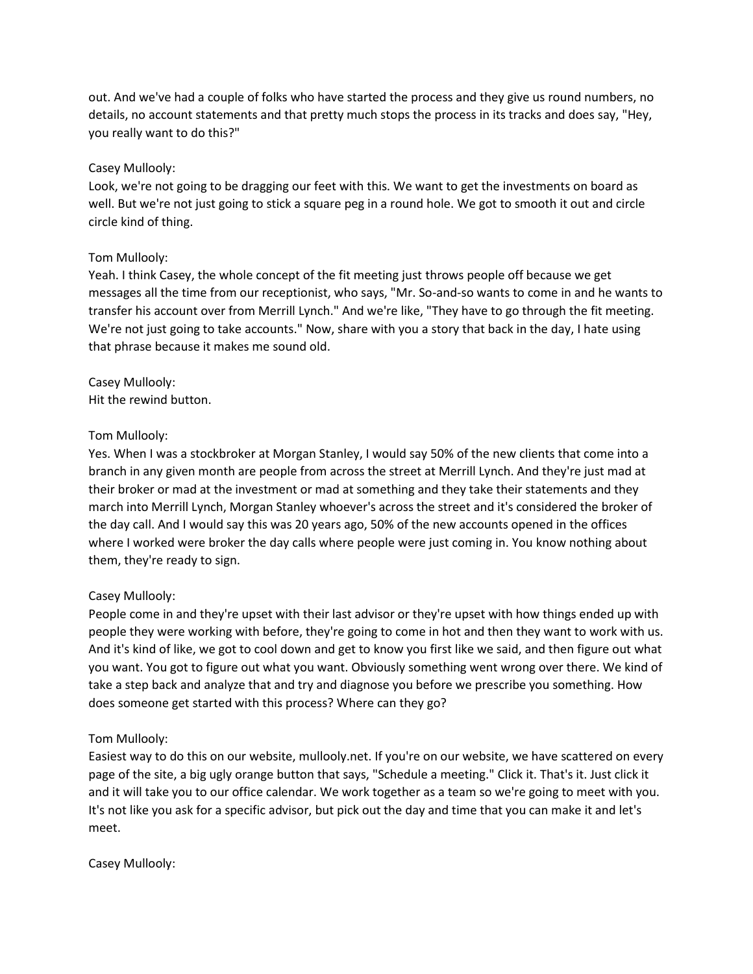out. And we've had a couple of folks who have started the process and they give us round numbers, no details, no account statements and that pretty much stops the process in its tracks and does say, "Hey, you really want to do this?"

## Casey Mullooly:

Look, we're not going to be dragging our feet with this. We want to get the investments on board as well. But we're not just going to stick a square peg in a round hole. We got to smooth it out and circle circle kind of thing.

## Tom Mullooly:

Yeah. I think Casey, the whole concept of the fit meeting just throws people off because we get messages all the time from our receptionist, who says, "Mr. So-and-so wants to come in and he wants to transfer his account over from Merrill Lynch." And we're like, "They have to go through the fit meeting. We're not just going to take accounts." Now, share with you a story that back in the day, I hate using that phrase because it makes me sound old.

Casey Mullooly: Hit the rewind button.

## Tom Mullooly:

Yes. When I was a stockbroker at Morgan Stanley, I would say 50% of the new clients that come into a branch in any given month are people from across the street at Merrill Lynch. And they're just mad at their broker or mad at the investment or mad at something and they take their statements and they march into Merrill Lynch, Morgan Stanley whoever's across the street and it's considered the broker of the day call. And I would say this was 20 years ago, 50% of the new accounts opened in the offices where I worked were broker the day calls where people were just coming in. You know nothing about them, they're ready to sign.

# Casey Mullooly:

People come in and they're upset with their last advisor or they're upset with how things ended up with people they were working with before, they're going to come in hot and then they want to work with us. And it's kind of like, we got to cool down and get to know you first like we said, and then figure out what you want. You got to figure out what you want. Obviously something went wrong over there. We kind of take a step back and analyze that and try and diagnose you before we prescribe you something. How does someone get started with this process? Where can they go?

### Tom Mullooly:

Easiest way to do this on our website, mullooly.net. If you're on our website, we have scattered on every page of the site, a big ugly orange button that says, "Schedule a meeting." Click it. That's it. Just click it and it will take you to our office calendar. We work together as a team so we're going to meet with you. It's not like you ask for a specific advisor, but pick out the day and time that you can make it and let's meet.

Casey Mullooly: